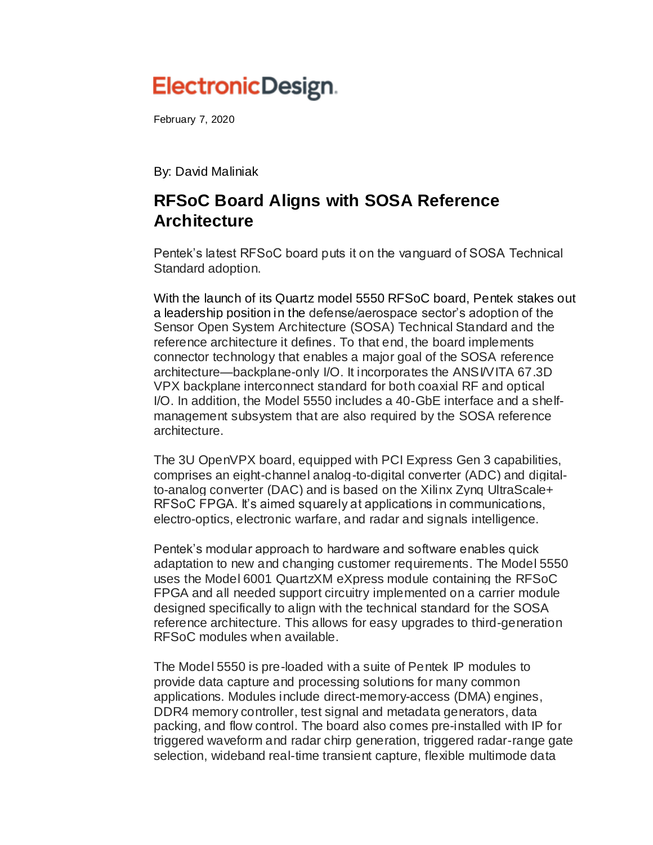## ElectronicDesign.

February 7, 2020

By: [David Maliniak](https://www.electronicdesign.com/home/contact/21809278/david-maliniak)

## **RFSoC Board Aligns with SOSA Reference Architecture**

Pentek's latest RFSoC board puts it on the vanguard of SOSA Technical Standard adoption.

With the launch of its Quartz model 5550 RFSoC board, [Pentek](https://www.pentek.com/) stakes out a leadership position in the defense/aerospace sector's adoption of the Sensor Open System Architecture (SOSA) Technical Standard and the reference architecture it defines. To that end, the board implements connector technology that enables a major goal of the SOSA reference architecture—backplane-only I/O. It incorporates the ANSI/VITA 67.3D VPX backplane interconnect standard for both coaxial RF and optical I/O. In addition, the Model 5550 includes a 40-GbE interface and a shelfmanagement subsystem that are also required by the SOSA reference architecture.

The 3U OpenVPX board, equipped with PCI Express Gen 3 capabilities, comprises an eight-channel analog-to-digital converter (ADC) and digitalto-analog converter (DAC) and is based on the Xilinx Zynq UltraScale+ RFSoC FPGA. It's aimed squarely at applications in communications, electro-optics, electronic warfare, and radar and signals intelligence.

Pentek's modular approach to hardware and software enables quick adaptation to new and changing customer requirements. The Model 5550 uses the Model 6001 QuartzXM eXpress module containing the RFSoC FPGA and all needed support circuitry implemented on a carrier module designed specifically to align with the technical standard for the SOSA reference architecture. This allows for easy upgrades to third-generation RFSoC modules when available.

The Model 5550 is pre-loaded with a suite of Pentek IP modules to provide data capture and processing solutions for many common applications. Modules include direct-memory-access (DMA) engines, DDR4 memory controller, test signal and metadata generators, data packing, and flow control. The board also comes pre-installed with IP for triggered waveform and radar chirp generation, triggered radar-range gate selection, wideband real-time transient capture, flexible multimode data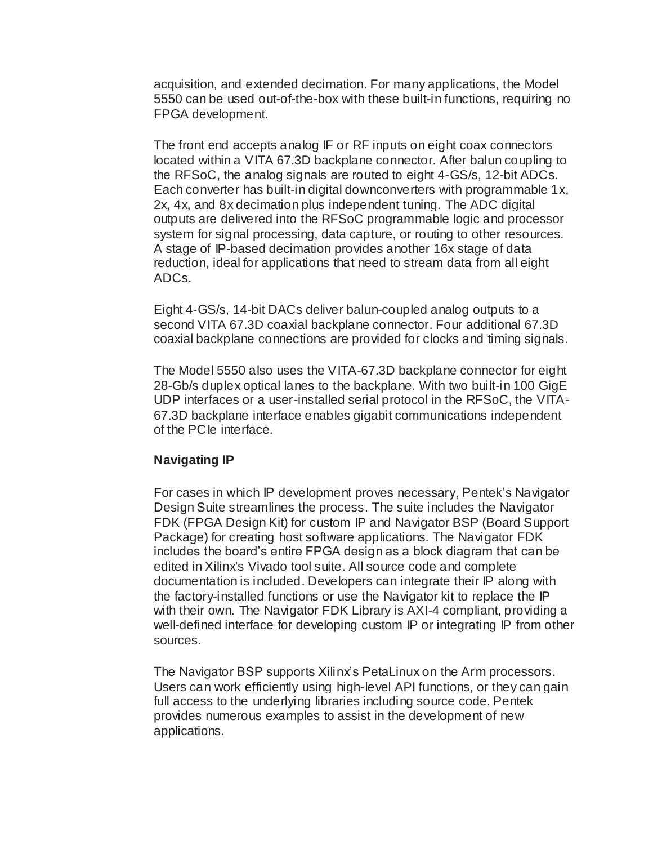acquisition, and extended decimation. For many applications, the Model 5550 can be used out-of-the-box with these built-in functions, requiring no FPGA development.

The front end accepts analog IF or RF inputs on eight coax connectors located within a VITA 67.3D backplane connector. After balun coupling to the RFSoC, the analog signals are routed to eight 4-GS/s, 12-bit ADCs. Each converter has built-in digital downconverters with programmable 1x, 2x, 4x, and 8x decimation plus independent tuning. The ADC digital outputs are delivered into the RFSoC programmable logic and processor system for signal processing, data capture, or routing to other resources. A stage of IP-based decimation provides another 16x stage of data reduction, ideal for applications that need to stream data from all eight ADCs.

Eight 4-GS/s, 14-bit DACs deliver balun-coupled analog outputs to a second VITA 67.3D coaxial backplane connector. Four additional 67.3D coaxial backplane connections are provided for clocks and timing signals.

The Model 5550 also uses the VITA-67.3D backplane connector for eight 28-Gb/s duplex optical lanes to the backplane. With two built-in 100 GigE UDP interfaces or a user-installed serial protocol in the RFSoC, the VITA-67.3D backplane interface enables gigabit communications independent of the PC le interface.

## **Navigating IP**

For cases in which IP development proves necessary, Pentek's Navigator Design Suite streamlines the process. The suite includes the Navigator FDK (FPGA Design Kit) for custom IP and Navigator BSP (Board Support Package) for creating host software applications. The Navigator FDK includes the board's entire FPGA design as a block diagram that can be edited in Xilinx's Vivado tool suite. All source code and complete documentation is included. Developers can integrate their IP along with the factory-installed functions or use the Navigator kit to replace the IP with their own. The Navigator FDK Library is AXI-4 compliant, providing a well-defined interface for developing custom IP or integrating IP from other sources.

The Navigator BSP supports Xilinx's PetaLinux on the Arm processors. Users can work efficiently using high-level API functions, or they can gain full access to the underlying libraries including source code. Pentek provides numerous examples to assist in the development of new applications.